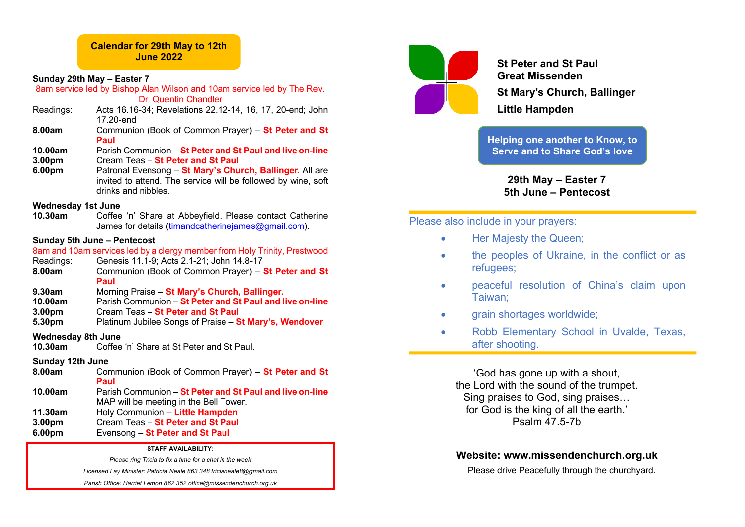## **Calendar for 29th May to 12th June 2022**

### **Sunday 29th May – Easter 7**

8am service led by Bishop Alan Wilson and 10am service led by The Rev.

Dr. Quentin Chandler

- Readings: Acts 16.16-34; Revelations 22.12-14, 16, 17, 20-end; John 17.20-end
- **8.00am** Communion (Book of Common Prayer) **St Peter and St Paul**
- **10.00am** Parish Communion **St Peter and St Paul and live on-line 3.00pm** Cream Teas – **St Peter and St Paul**
- **6.00pm** Patronal Evensong **St Mary's Church, Ballinger.** All are invited to attend. The service will be followed by wine, soft drinks and nibbles.

### **Wednesday 1st June**

**10.30am** Coffee 'n' Share at Abbeyfield. Please contact Catherine James for details (timandcatherinejames@gmail.com).

## **Sunday 5th June – Pentecost**

8am and 10am services led by a clergy member from Holy Trinity, Prestwood Readings: Genesis 11.1-9; Acts 2.1-21; John 14.8-17 **8.00am** Communion (Book of Common Prayer) – **St Peter and St** 

- **Paul**
- **9.30am** Morning Praise **St Mary's Church, Ballinger.**
- **10.00am** Parish Communion **St Peter and St Paul and live on-line**
- **3.00pm** Cream Teas **St Peter and St Paul**
- **5.30pm** Platinum Jubilee Songs of Praise **St Mary's, Wendover**

## **Wednesday 8th June**

**10.30am** Coffee 'n' Share at St Peter and St Paul.

## **Sunday 12th June**

- **8.00am** Communion (Book of Common Prayer) **St Peter and St Paul**
- **10.00am** Parish Communion **St Peter and St Paul and live on-line** MAP will be meeting in the Bell Tower.
- **11.30am** Holy Communion **Little Hampden 3.00pm** Cream Teas – **St Peter and St Paul**
- **6.00pm** Evensong **St Peter and St Paul**

### **STAFF AVAILABILITY:**

*Please ring Tricia to fix a time for a chat in the week*

*Licensed Lay Minister: Patricia Neale 863 348 tricianeale8@gmail.com*

*Parish Office: Harriet Lemon 862 352 office@missendenchurch.org.uk*



**St Peter and St Paul Great Missenden St Mary's Church, Ballinger Little Hampden**

**Helping one another to Know, to Serve and to Share God's love**

> **29th May – Easter 7 5th June – Pentecost**

## Please also include in your prayers:

- Her Majesty the Queen;
- the peoples of Ukraine, in the conflict or as refugees;
- peaceful resolution of China's claim upon Taiwan;
- **grain shortages worldwide;**
- Robb Elementary School in Uvalde, Texas, after shooting.

'God has gone up with a shout, the Lord with the sound of the trumpet. Sing praises to God, sing praises… for God is the king of all the earth.' Psalm 47.5-7b

# **Website: www.missendenchurch.org.uk**

Please drive Peacefully through the churchyard.